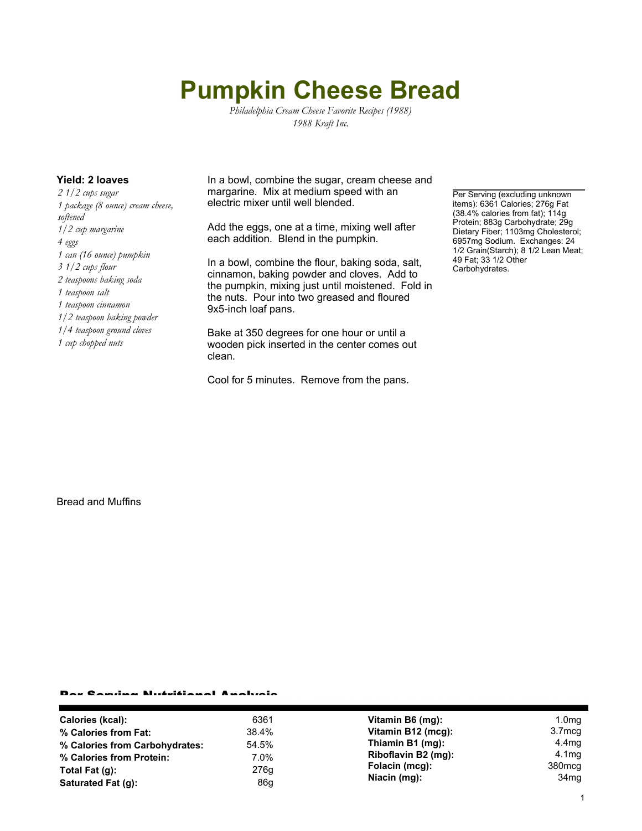## **Pumpkin Cheese Bread**

*Philadelphia Cream Cheese Favorite Recipes (1988) 1988 Kraft Inc.*

*2 1/2 cups sugar 1 package (8 ounce) cream cheese, softened 1/2 cup margarine 4 eggs 1 can (16 ounce) pumpkin 3 1/2 cups flour 2 teaspoons baking soda 1 teaspoon salt 1 teaspoon cinnamon 1/2 teaspoon baking powder 1/4 teaspoon ground cloves 1 cup chopped nuts*

**Yield: 2 loaves** In a bowl, combine the sugar, cream cheese and margarine. Mix at medium speed with an electric mixer until well blended.

> Add the eggs, one at a time, mixing well after each addition. Blend in the pumpkin.

In a bowl, combine the flour, baking soda, salt, cinnamon, baking powder and cloves. Add to the pumpkin, mixing just until moistened. Fold in the nuts. Pour into two greased and floured 9x5-inch loaf pans.

Bake at 350 degrees for one hour or until a wooden pick inserted in the center comes out clean.

Cool for 5 minutes. Remove from the pans.

Per Serving (excluding unknown items): 6361 Calories; 276g Fat (38.4% calories from fat); 114g Protein; 883g Carbohydrate; 29g Dietary Fiber; 1103mg Cholesterol; 6957mg Sodium. Exchanges: 24 1/2 Grain(Starch); 8 1/2 Lean Meat; 49 Fat; 33 1/2 Other Carbohydrates.

Bread and Muffins

## Per Serving Nutritional Analysis

| Calories (kcal):               | 6361    | Vitamin B6 (mg):               | 1.0 <sub>mg</sub>                      |
|--------------------------------|---------|--------------------------------|----------------------------------------|
| % Calories from Fat:           | 38.4%   | Vitamin B12 (mcg):             | 3.7 <sub>mcg</sub>                     |
| % Calories from Carbohydrates: | 54.5%   | Thiamin B1 (mg):               | 4.4mg                                  |
| % Calories from Protein:       | $7.0\%$ | Riboflavin B2 (mg):            | 4.1 <sub>mq</sub>                      |
| Total Fat $(q)$ :              | 276g    | Folacin (mcg):<br>Niacin (mg): | 380 <sub>mcg</sub><br>34 <sub>mq</sub> |
| Saturated Fat (q):             | 86g     |                                |                                        |